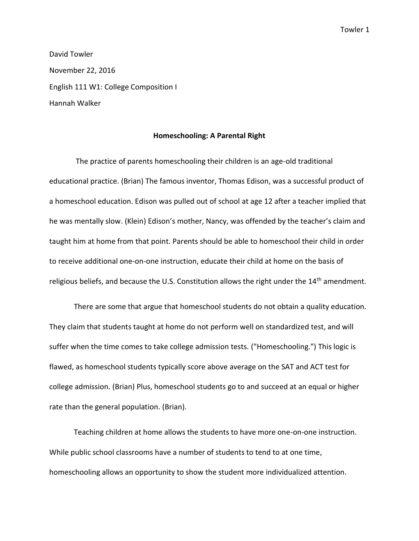Towler 1

David Towler November 22, 2016 English 111 W1: College Composition I Hannah Walker

## **Homeschooling: A Parental Right**

The practice of parents homeschooling their children is an age-old traditional educational practice. (Brian) The famous inventor, Thomas Edison, was a successful product of a homeschool education. Edison was pulled out of school at age 12 after a teacher implied that he was mentally slow. (Klein) Edison's mother, Nancy, was offended by the teacher's claim and taught him at home from that point. Parents should be able to homeschool their child in order to receive additional one-on-one instruction, educate their child at home on the basis of religious beliefs, and because the U.S. Constitution allows the right under the 14<sup>th</sup> amendment.

There are some that argue that homeschool students do not obtain a quality education. They claim that students taught at home do not perform well on standardized test, and will suffer when the time comes to take college admission tests. ("Homeschooling.") This logic is flawed, as homeschool students typically score above average on the SAT and ACT test for college admission. (Brian) Plus, homeschool students go to and succeed at an equal or higher rate than the general population. (Brian).

Teaching children at home allows the students to have more one-on-one instruction. While public school classrooms have a number of students to tend to at one time, homeschooling allows an opportunity to show the student more individualized attention.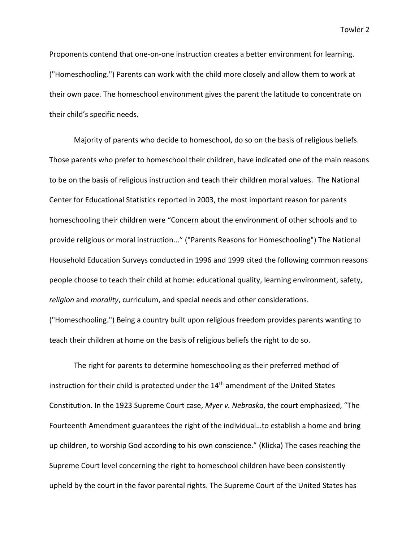Towler 2

Proponents contend that one-on-one instruction creates a better environment for learning. ("Homeschooling.") Parents can work with the child more closely and allow them to work at their own pace. The homeschool environment gives the parent the latitude to concentrate on their child's specific needs.

Majority of parents who decide to homeschool, do so on the basis of religious beliefs. Those parents who prefer to homeschool their children, have indicated one of the main reasons to be on the basis of religious instruction and teach their children moral values. The National Center for Educational Statistics reported in 2003, the most important reason for parents homeschooling their children were "Concern about the environment of other schools and to provide religious or moral instruction..." ("Parents Reasons for Homeschooling") The National Household Education Surveys conducted in 1996 and 1999 cited the following common reasons people choose to teach their child at home: educational quality, learning environment, safety, *religion* and *morality*, curriculum, and special needs and other considerations. ("Homeschooling.") Being a country built upon religious freedom provides parents wanting to

The right for parents to determine homeschooling as their preferred method of instruction for their child is protected under the 14<sup>th</sup> amendment of the United States Constitution. In the 1923 Supreme Court case, *Myer v. Nebraska*, the court emphasized, "The Fourteenth Amendment guarantees the right of the individual…to establish a home and bring up children, to worship God according to his own conscience." (Klicka) The cases reaching the Supreme Court level concerning the right to homeschool children have been consistently upheld by the court in the favor parental rights. The Supreme Court of the United States has

teach their children at home on the basis of religious beliefs the right to do so.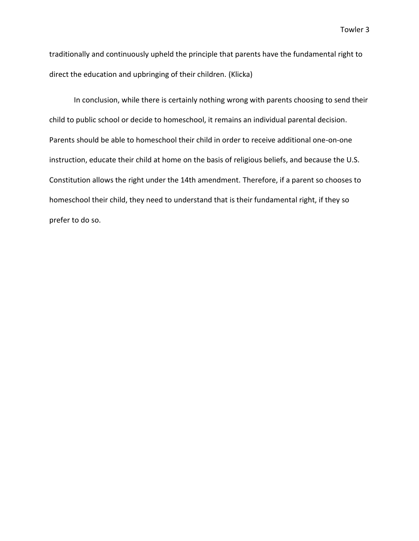traditionally and continuously upheld the principle that parents have the fundamental right to direct the education and upbringing of their children. (Klicka)

In conclusion, while there is certainly nothing wrong with parents choosing to send their child to public school or decide to homeschool, it remains an individual parental decision. Parents should be able to homeschool their child in order to receive additional one-on-one instruction, educate their child at home on the basis of religious beliefs, and because the U.S. Constitution allows the right under the 14th amendment. Therefore, if a parent so chooses to homeschool their child, they need to understand that is their fundamental right, if they so prefer to do so.